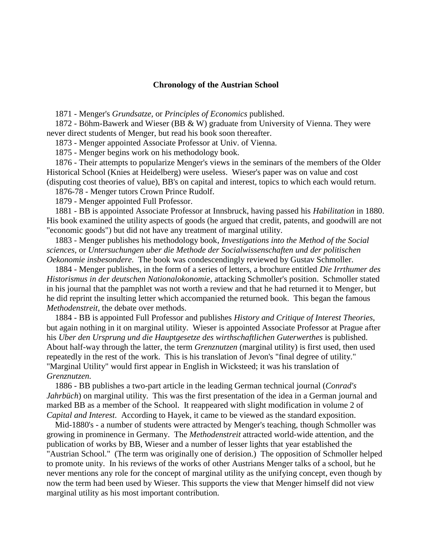## **Chronology of the Austrian School**

1871 - Menger's *Grundsatze,* or *Principles of Economics* published.

 1872 - Böhm-Bawerk and Wieser (BB & W) graduate from University of Vienna. They were never direct students of Menger, but read his book soon thereafter.

1873 - Menger appointed Associate Professor at Univ. of Vienna.

1875 - Menger begins work on his methodology book.

 1876 - Their attempts to popularize Menger's views in the seminars of the members of the Older Historical School (Knies at Heidelberg) were useless. Wieser's paper was on value and cost (disputing cost theories of value), BB's on capital and interest, topics to which each would return.

1876-78 - Menger tutors Crown Prince Rudolf.

1879 - Menger appointed Full Professor.

 1881 - BB is appointed Associate Professor at Innsbruck, having passed his *Habilitation* in 1880. His book examined the utility aspects of goods (he argued that credit, patents, and goodwill are not "economic goods") but did not have any treatment of marginal utility.

 1883 - Menger publishes his methodology book, *Investigations into the Method of the Social sciences,* or *Untersuchungen uber die Methode der Socialwissenschaften und der politischen Oekonomie insbesondere.* The book was condescendingly reviewed by Gustav Schmoller.

 1884 - Menger publishes, in the form of a series of letters, a brochure entitled *Die Irrthumer des Historismus in der deutschen Nationalokonomie,* attacking Schmoller's position. Schmoller stated in his journal that the pamphlet was not worth a review and that he had returned it to Menger, but he did reprint the insulting letter which accompanied the returned book. This began the famous *Methodenstreit*, the debate over methods.

 1884 - BB is appointed Full Professor and publishes *History and Critique of Interest Theories,* but again nothing in it on marginal utility. Wieser is appointed Associate Professor at Prague after his *Uber den Ursprung und die Hauptgesetze des wirthschaftlichen Guterwerthes* is published. About half-way through the latter, the term *Grenznutzen* (marginal utility) is first used, then used repeatedly in the rest of the work. This is his translation of Jevon's "final degree of utility." "Marginal Utility" would first appear in English in Wicksteed; it was his translation of *Grenznutzen.*

 1886 - BB publishes a two-part article in the leading German technical journal (*Conrad's Jahrbüch*) on marginal utility. This was the first presentation of the idea in a German journal and marked BB as a member of the School. It reappeared with slight modification in volume 2 of *Capital and Interest*. According to Hayek, it came to be viewed as the standard exposition.

 Mid-1880's - a number of students were attracted by Menger's teaching, though Schmoller was growing in prominence in Germany. The *Methodenstreit* attracted world-wide attention, and the publication of works by BB, Wieser and a number of lesser lights that year established the "Austrian School." (The term was originally one of derision.) The opposition of Schmoller helped to promote unity. In his reviews of the works of other Austrians Menger talks of a school, but he never mentions any role for the concept of marginal utility as the unifying concept, even though by now the term had been used by Wieser. This supports the view that Menger himself did not view marginal utility as his most important contribution.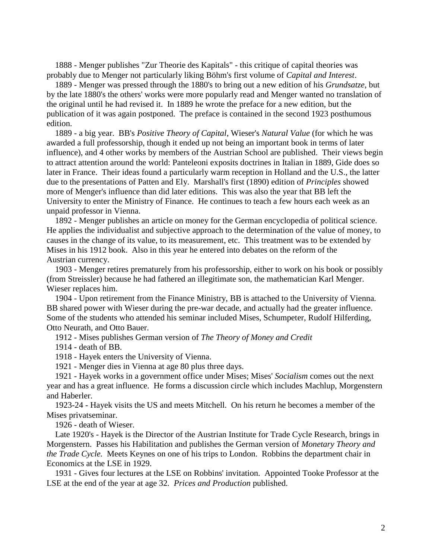1888 - Menger publishes "Zur Theorie des Kapitals" - this critique of capital theories was probably due to Menger not particularly liking Böhm's first volume of *Capital and Interest*.

 1889 - Menger was pressed through the 1880's to bring out a new edition of his *Grundsatze*, but by the late 1880's the others' works were more popularly read and Menger wanted no translation of the original until he had revised it. In 1889 he wrote the preface for a new edition, but the publication of it was again postponed. The preface is contained in the second 1923 posthumous edition.

 1889 - a big year. BB's *Positive Theory of Capital*, Wieser's *Natural Value* (for which he was awarded a full professorship, though it ended up not being an important book in terms of later influence), and 4 other works by members of the Austrian School are published. Their views begin to attract attention around the world: Panteleoni exposits doctrines in Italian in 1889, Gide does so later in France. Their ideas found a particularly warm reception in Holland and the U.S., the latter due to the presentations of Patten and Ely. Marshall's first (1890) edition of *Principles* showed more of Menger's influence than did later editions. This was also the year that BB left the University to enter the Ministry of Finance. He continues to teach a few hours each week as an unpaid professor in Vienna.

 1892 - Menger publishes an article on money for the German encyclopedia of political science. He applies the individualist and subjective approach to the determination of the value of money, to causes in the change of its value, to its measurement, etc. This treatment was to be extended by Mises in his 1912 book. Also in this year he entered into debates on the reform of the Austrian currency.

 1903 - Menger retires prematurely from his professorship, either to work on his book or possibly (from Streissler) because he had fathered an illegitimate son, the mathematician Karl Menger. Wieser replaces him.

 1904 - Upon retirement from the Finance Ministry, BB is attached to the University of Vienna. BB shared power with Wieser during the pre-war decade, and actually had the greater influence. Some of the students who attended his seminar included Mises, Schumpeter, Rudolf Hilferding, Otto Neurath, and Otto Bauer.

1912 - Mises publishes German version of *The Theory of Money and Credit*

1914 - death of BB.

1918 - Hayek enters the University of Vienna.

1921 - Menger dies in Vienna at age 80 plus three days.

 1921 - Hayek works in a government office under Mises; Mises' *Socialism* comes out the next year and has a great influence. He forms a discussion circle which includes Machlup, Morgenstern and Haberler.

 1923-24 - Hayek visits the US and meets Mitchell. On his return he becomes a member of the Mises privatseminar.

1926 - death of Wieser.

 Late 1920's - Hayek is the Director of the Austrian Institute for Trade Cycle Research, brings in Morgenstern. Passes his Habilitation and publishes the German version of *Monetary Theory and the Trade Cycle.* Meets Keynes on one of his trips to London. Robbins the department chair in Economics at the LSE in 1929.

 1931 - Gives four lectures at the LSE on Robbins' invitation. Appointed Tooke Professor at the LSE at the end of the year at age 32*. Prices and Production* published.